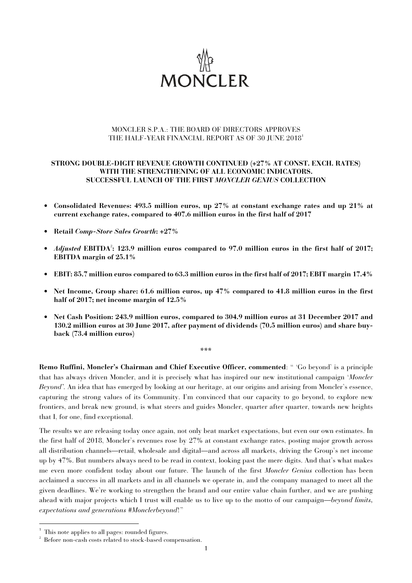

# MONCLER S.P.A.: THE BOARD OF DIRECTORS APPROVES THE HALF-YEAR FINANCIAL REPORT AS OF 30 JUNE 2018<sup>1</sup>

# **STRONG DOUBLE-DIGIT REVENUE GROWTH CONTINUED (+27% AT CONST. EXCH. RATES) WITH THE STRENGTHENING OF ALL ECONOMIC INDICATORS. SUCCESSFUL LAUNCH OF THE FIRST** *MONCLER GENIUS* **COLLECTION**

- **Consolidated Revenues: 493.5 million euros, up 27% at constant exchange rates and up 21% at current exchange rates, compared to 407.6 million euros in the first half of 2017**
- **Retail** *Comp-Store Sales Growth***: +27%**
- *Adjusted* EBITDA<sup>2</sup>: 123.9 million euros compared to 97.0 million euros in the first half of 2017; **EBITDA margin of 25.1%**
- **EBIT: 85.7 million euros compared to 63.3 million euros in the first half of 2017; EBIT margin 17.4%**
- **Net Income, Group share: 61.6 million euros, up 47% compared to 41.8 million euros in the first half of 2017; net income margin of 12.5%**
- **Net Cash Position: 243.9 million euros, compared to 304.9 million euros at 31 December 2017 and 130.2 million euros at 30 June 2017, after payment of dividends (70.5 million euros) and share buyback (73.4 million euros)**

**\*\*\*** 

**Remo Ruffini, Moncler's Chairman and Chief Executive Officer, commented**: " 'Go beyond' is a principle that has always driven Moncler, and it is precisely what has inspired our new institutional campaign '*Moncler Beyond'*. An idea that has emerged by looking at our heritage, at our origins and arising from Moncler's essence, capturing the strong values of its Community. I'm convinced that our capacity to go beyond, to explore new frontiers, and break new ground, is what steers and guides Moncler, quarter after quarter, towards new heights that I, for one, find exceptional.

The results we are releasing today once again, not only beat market expectations, but even our own estimates. In the first half of 2018, Moncler's revenues rose by 27% at constant exchange rates, posting major growth across all distribution channels—retail, wholesale and digital—and across all markets, driving the Group's net income up by 47%. But numbers always need to be read in context, looking past the mere digits. And that's what makes me even more confident today about our future. The launch of the first *Moncler Genius* collection has been acclaimed a success in all markets and in all channels we operate in, and the company managed to meet all the given deadlines. We're working to strengthen the brand and our entire value chain further, and we are pushing ahead with major projects which I trust will enable us to live up to the motto of our campaign—*beyond limits, expectations and generations #Monclerbeyond*!"

l

<sup>&</sup>lt;sup>1</sup> This note applies to all pages: rounded figures.

<sup>2</sup> Before non-cash costs related to stock-based compensation.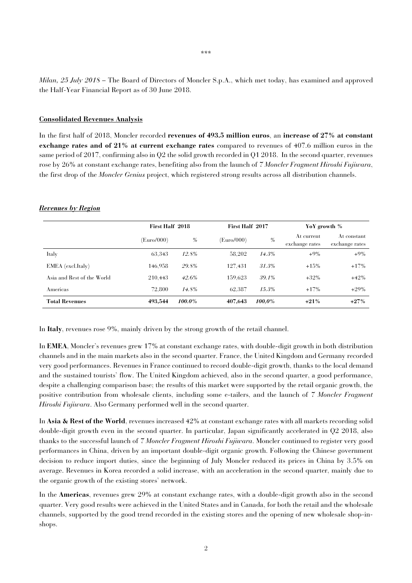*Milan, 25 July 2018* – The Board of Directors of Moncler S.p.A., which met today, has examined and approved the Half-Year Financial Report as of 30 June 2018.

#### **Consolidated Revenues Analysis**

In the first half of 2018, Moncler recorded **revenues of 493.5 million euros**, an **increase of 27% at constant exchange rates and of 21% at current exchange rates** compared to revenues of 407.6 million euros in the same period of 2017, confirming also in Q2 the solid growth recorded in Q1 2018. In the second quarter, revenues rose by 26% at constant exchange rates, benefiting also from the launch of *7 Moncler Fragment Hiroshi Fujiwara*, the first drop of the *Moncler Genius* project, which registered strong results across all distribution channels.

### *Revenues by Region*

|                            | First Half 2018 |        |            | First Half 2017 |                              | YoY growth %                  |  |
|----------------------------|-----------------|--------|------------|-----------------|------------------------------|-------------------------------|--|
|                            | (Euro/000)      | $\%$   | (Euro/000) | $\%$            | At current<br>exchange rates | At constant<br>exchange rates |  |
| Italy                      | 63.343          | 12.8%  | 58.202     | 14.3%           | $+9\%$                       | $+9\%$                        |  |
| EMEA (excl.Italy)          | 146.958         | 29.8%  | 127.431    | 31.3%           | $+15%$                       | $+17%$                        |  |
| Asia and Rest of the World | 210.443         | 42.6%  | 159.623    | 39.1%           | $+32\%$                      | $+42%$                        |  |
| Americas                   | 72.800          | 14.8%  | 62.387     | $15.3\%$        | $+17%$                       | $+29\%$                       |  |
| <b>Total Revenues</b>      | 493,544         | 100.0% | 407,643    | 100.0%          | $+21%$                       | $+27%$                        |  |

In **Italy**, revenues rose 9%, mainly driven by the strong growth of the retail channel.

In **EMEA**, Moncler's revenues grew 17% at constant exchange rates, with double-digit growth in both distribution channels and in the main markets also in the second quarter. France, the United Kingdom and Germany recorded very good performances. Revenues in France continued to record double-digit growth, thanks to the local demand and the sustained tourists' flow. The United Kingdom achieved, also in the second quarter, a good performance, despite a challenging comparison base; the results of this market were supported by the retail organic growth, the positive contribution from wholesale clients, including some e-tailers, and the launch of *7 Moncler Fragment Hiroshi Fujiwara*. Also Germany performed well in the second quarter.

In **Asia & Rest of the World**, revenues increased 42% at constant exchange rates with all markets recording solid double-digit growth even in the second quarter. In particular, Japan significantly accelerated in Q2 2018, also thanks to the successful launch of *7 Moncler Fragment Hiroshi Fujiwara*. Moncler continued to register very good performances in China, driven by an important double-digit organic growth. Following the Chinese government decision to reduce import duties, since the beginning of July Moncler reduced its prices in China by 3.5% on average. Revenues in Korea recorded a solid increase, with an acceleration in the second quarter, mainly due to the organic growth of the existing stores' network.

In the **Americas**, revenues grew 29% at constant exchange rates, with a double-digit growth also in the second quarter. Very good results were achieved in the United States and in Canada, for both the retail and the wholesale channels, supported by the good trend recorded in the existing stores and the opening of new wholesale shop-inshops.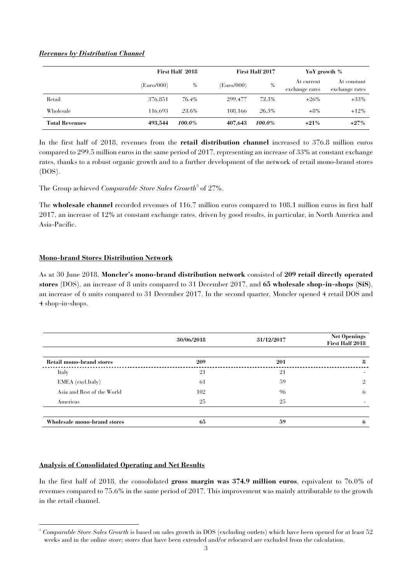# *Revenues by Distribution Channel*

|                       | First Half 2018 |        |            | <b>First Half 2017</b> |                              | YoY growth %                  |  |
|-----------------------|-----------------|--------|------------|------------------------|------------------------------|-------------------------------|--|
|                       | (Euro/000)      | $\%$   | (Euro/000) | $\%$                   | At current<br>exchange rates | At constant<br>exchange rates |  |
| Retail                | 376.851         | 76.4%  | 299.477    | 73.5%                  | $+26\%$                      | $+33\%$                       |  |
| Wholesale             | 116.693         | 23.6%  | 108.166    | 26.5%                  | $+8\%$                       | $+12\%$                       |  |
| <b>Total Revenues</b> | 493.544         | 100.0% | 407,643    | 100.0%                 | $+21%$                       | $+27%$                        |  |

In the first half of 2018, revenues from the **retail distribution channel** increased to 376.8 million euros compared to 299.5 million euros in the same period of 2017, representing an increase of 33% at constant exchange rates, thanks to a robust organic growth and to a further development of the network of retail mono-brand stores (DOS).

The Group achieved *Comparable Store Sales Growth*<sup>3</sup> of 27%.

The **wholesale channel** recorded revenues of 116.7 million euros compared to 108.1 million euros in first half 2017, an increase of 12% at constant exchange rates, driven by good results, in particular, in North America and Asia-Pacific.

# **Mono-brand Stores Distribution Network**

As at 30 June 2018, **Moncler's mono-brand distribution network** consisted of **209 retail directly operated stores** (DOS), an increase of 8 units compared to 31 December 2017, and **65 wholesale shop-in-shops (SiS)**, an increase of 6 units compared to 31 December 2017. In the second quarter, Moncler opened 4 retail DOS and 4 shop-in-shops.

|                                 | 30/06/2018 | 31/12/2017 | <b>Net Openings</b><br>First Half 2018 |
|---------------------------------|------------|------------|----------------------------------------|
| <b>Retail mono-brand stores</b> | 209        | 201        | -8                                     |
| Italy                           | 21         | 21         | -                                      |
| EMEA (excl.Italy)               | -61        | 59         | 9                                      |
| Asia and Rest of the World      | 102        | 96         | 6                                      |
| Americas                        | 25         | 25         |                                        |
| Wholesale mono-brand stores     | 65         | 59         | <sub>n</sub>                           |

### **Analysis of Consolidated Operating and Net Results**

In the first half of 2018, the consolidated **gross margin was 374.9 million euros**, equivalent to 76.0% of revenues compared to 75.6% in the same period of 2017. This improvement was mainly attributable to the growth in the retail channel.

 3 *Comparable Store Sales Growth* is based on sales growth in DOS (excluding outlets) which have been opened for at least 52 weeks and in the online store; stores that have been extended and/or relocated are excluded from the calculation.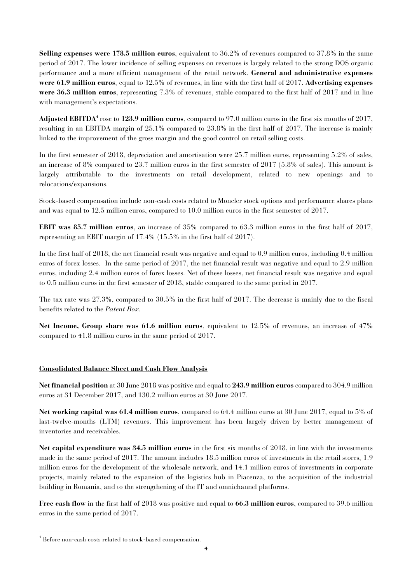**Selling expenses were 178.5 million euros**, equivalent to 36.2% of revenues compared to 37.8% in the same period of 2017. The lower incidence of selling expenses on revenues is largely related to the strong DOS organic performance and a more efficient management of the retail network. **General and administrative expenses were 61.9 million euros**, equal to 12.5% of revenues, in line with the first half of 2017. **Advertising expenses were 36.3 million euros**, representing 7.3% of revenues, stable compared to the first half of 2017 and in line with management's expectations.

**Adjusted EBITDA<sup>4</sup>** rose to **123.9 million euros**, compared to 97.0 million euros in the first six months of 2017, resulting in an EBITDA margin of 25.1% compared to 23.8% in the first half of 2017. The increase is mainly linked to the improvement of the gross margin and the good control on retail selling costs.

In the first semester of 2018, depreciation and amortisation were 25.7 million euros, representing 5.2% of sales, an increase of 8% compared to 23.7 million euros in the first semester of 2017 (5.8% of sales). This amount is largely attributable to the investments on retail development, related to new openings and to relocations/expansions.

Stock-based compensation include non-cash costs related to Moncler stock options and performance shares plans and was equal to 12.5 million euros, compared to 10.0 million euros in the first semester of 2017.

**EBIT was 85.7 million euros**, an increase of 35% compared to 63.3 million euros in the first half of 2017, representing an EBIT margin of 17.4% (15.5% in the first half of 2017).

In the first half of 2018, the net financial result was negative and equal to 0.9 million euros, including 0.4 million euros of forex losses. In the same period of 2017, the net financial result was negative and equal to 2.9 million euros, including 2.4 million euros of forex losses. Net of these losses, net financial result was negative and equal to 0.5 million euros in the first semester of 2018, stable compared to the same period in 2017.

The tax rate was 27.3%, compared to 30.5% in the first half of 2017. The decrease is mainly due to the fiscal benefits related to the *Patent Box*.

**Net Income, Group share was 61.6 million euros**, equivalent to 12.5% of revenues, an increase of 47% compared to 41.8 million euros in the same period of 2017.

# **Consolidated Balance Sheet and Cash Flow Analysis**

**Net financial position** at 30 June 2018 was positive and equal to **243.9 million euros** compared to 304.9 million euros at 31 December 2017, and 130.2 million euros at 30 June 2017.

**Net working capital was 61.4 million euros**, compared to 64.4 million euros at 30 June 2017, equal to 5% of last-twelve-months (LTM) revenues. This improvement has been largely driven by better management of inventories and receivables.

**Net capital expenditure was 34.5 million euros** in the first six months of 2018, in line with the investments made in the same period of 2017. The amount includes 18.5 million euros of investments in the retail stores, 1.9 million euros for the development of the wholesale network, and 14.1 million euros of investments in corporate projects, mainly related to the expansion of the logistics hub in Piacenza, to the acquisition of the industrial building in Romania, and to the strengthening of the IT and omnichannel platforms.

**Free cash flow** in the first half of 2018 was positive and equal to **66.3 million euros**, compared to 39.6 million euros in the same period of 2017.

j

<sup>4</sup> Before non-cash costs related to stock-based compensation.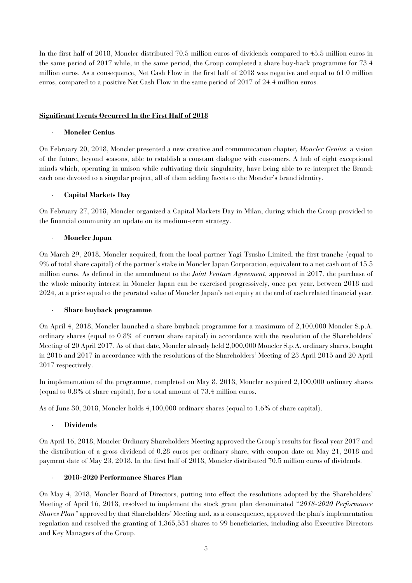In the first half of 2018, Moncler distributed 70.5 million euros of dividends compared to 45.5 million euros in the same period of 2017 while, in the same period, the Group completed a share buy-back programme for 73.4 million euros. As a consequence, Net Cash Flow in the first half of 2018 was negative and equal to 61.0 million euros, compared to a positive Net Cash Flow in the same period of 2017 of 24.4 million euros.

# **Significant Events Occurred In the First Half of 2018**

# - **Moncler Genius**

On February 20, 2018, Moncler presented a new creative and communication chapter*, Moncler Genius*: a vision of the future, beyond seasons, able to establish a constant dialogue with customers. A hub of eight exceptional minds which, operating in unison while cultivating their singularity, have being able to re-interpret the Brand; each one devoted to a singular project, all of them adding facets to the Moncler's brand identity.

# - **Capital Markets Day**

On February 27, 2018, Moncler organized a Capital Markets Day in Milan, during which the Group provided to the financial community an update on its medium-term strategy.

# - **Moncler Japan**

On March 29, 2018, Moncler acquired, from the local partner Yagi Tsusho Limited, the first tranche (equal to 9% of total share capital) of the partner's stake in Moncler Japan Corporation, equivalent to a net cash out of 15.5 million euros. As defined in the amendment to the *Joint Venture Agreement*, approved in 2017, the purchase of the whole minority interest in Moncler Japan can be exercised progressively, once per year, between 2018 and 2024, at a price equal to the prorated value of Moncler Japan's net equity at the end of each related financial year.

#### - **Share buyback programme**

On April 4, 2018, Moncler launched a share buyback programme for a maximum of 2,100,000 Moncler S.p.A. ordinary shares (equal to 0.8% of current share capital) in accordance with the resolution of the Shareholders' Meeting of 20 April 2017. As of that date, Moncler already held 2,000,000 Moncler S.p.A. ordinary shares, bought in 2016 and 2017 in accordance with the resolutions of the Shareholders' Meeting of 23 April 2015 and 20 April 2017 respectively.

In implementation of the programme, completed on May 8, 2018, Moncler acquired 2,100,000 ordinary shares (equal to 0.8% of share capital), for a total amount of 73.4 million euros.

As of June 30, 2018, Moncler holds 4,100,000 ordinary shares (equal to 1.6% of share capital).

#### - **Dividends**

On April 16, 2018, Moncler Ordinary Shareholders Meeting approved the Group's results for fiscal year 2017 and the distribution of a gross dividend of 0.28 euros per ordinary share, with coupon date on May 21, 2018 and payment date of May 23, 2018. In the first half of 2018, Moncler distributed 70.5 million euros of dividends.

#### - **2018-2020 Performance Shares Plan**

On May 4, 2018, Moncler Board of Directors, putting into effect the resolutions adopted by the Shareholders' Meeting of April 16, 2018, resolved to implement the stock grant plan denominated "*2018-2020 Performance Shares Plan"* approved by that Shareholders' Meeting and, as a consequence, approved the plan's implementation regulation and resolved the granting of 1,365,531 shares to 99 beneficiaries, including also Executive Directors and Key Managers of the Group.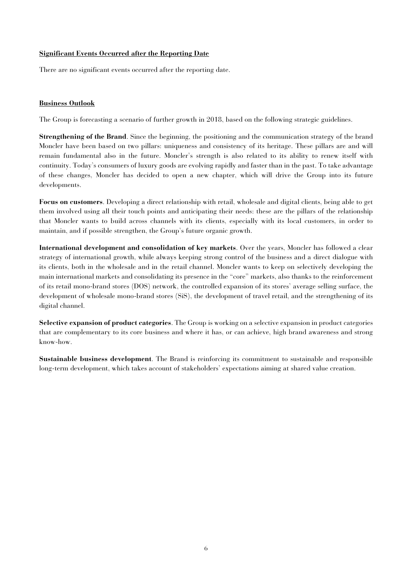# **Significant Events Occurred after the Reporting Date**

There are no significant events occurred after the reporting date.

# **Business Outlook**

The Group is forecasting a scenario of further growth in 2018, based on the following strategic guidelines.

**Strengthening of the Brand**. Since the beginning, the positioning and the communication strategy of the brand Moncler have been based on two pillars: uniqueness and consistency of its heritage. These pillars are and will remain fundamental also in the future. Moncler's strength is also related to its ability to renew itself with continuity. Today's consumers of luxury goods are evolving rapidly and faster than in the past. To take advantage of these changes, Moncler has decided to open a new chapter, which will drive the Group into its future developments.

**Focus on customers**. Developing a direct relationship with retail, wholesale and digital clients, being able to get them involved using all their touch points and anticipating their needs: these are the pillars of the relationship that Moncler wants to build across channels with its clients, especially with its local customers, in order to maintain, and if possible strengthen, the Group's future organic growth.

**International development and consolidation of key markets**. Over the years, Moncler has followed a clear strategy of international growth, while always keeping strong control of the business and a direct dialogue with its clients, both in the wholesale and in the retail channel. Moncler wants to keep on selectively developing the main international markets and consolidating its presence in the "core" markets, also thanks to the reinforcement of its retail mono-brand stores (DOS) network, the controlled expansion of its stores' average selling surface, the development of wholesale mono-brand stores (SiS), the development of travel retail, and the strengthening of its digital channel.

**Selective expansion of product categories**. The Group is working on a selective expansion in product categories that are complementary to its core business and where it has, or can achieve, high brand awareness and strong know-how.

**Sustainable business development**. The Brand is reinforcing its commitment to sustainable and responsible long-term development, which takes account of stakeholders' expectations aiming at shared value creation.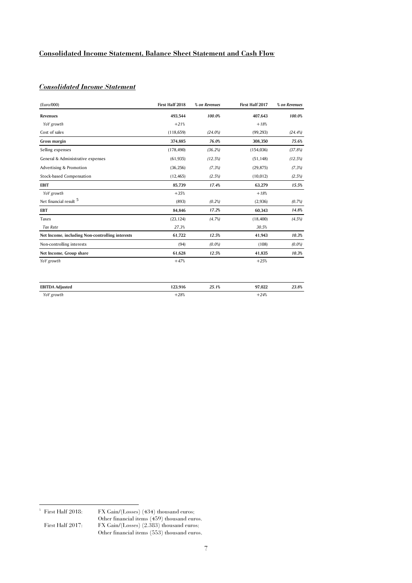# **Consolidated Income Statement, Balance Sheet Statement and Cash Flow**

# *Consolidated Income Statement*\_\_

| (Euro/000)                                      | First Half 2018 | % on Revenues | First Half 2017 | % on Revenues |
|-------------------------------------------------|-----------------|---------------|-----------------|---------------|
| Revenues                                        | 493.544         | 100.0%        | 407.643         | 100.0%        |
| YoY growth                                      | $+21%$          |               | $+18%$          |               |
| Cost of sales                                   | (118, 659)      | $(24.0\%)$    | (99, 293)       | $(24.4\%)$    |
| Gross margin                                    | 374,885         | 76.0%         | 308,350         | 75.6%         |
| Selling expenses                                | (178, 490)      | (36.2%)       | (154, 036)      | (37.8%)       |
| General & Administrative expenses               | (61, 935)       | (12.5%)       | (51, 148)       | (12.5%)       |
| Advertising & Promotion                         | (36, 256)       | $(7.3\%)$     | (29, 875)       | $(7.3\%)$     |
| Stock-based Compensation                        | (12, 465)       | $(2.5\%)$     | (10, 012)       | $(2.5\%)$     |
| <b>EBIT</b>                                     | 85.739          | 17.4%         | 63.279          | 15.5%         |
| YoY growth                                      | $+35%$          |               | $+18%$          |               |
| Net financial result 5                          | (893)           | $(0.2\%)$     | (2,936)         | (0.7%)        |
| <b>EBT</b>                                      | 84,846          | 17.2%         | 60,343          | 14.8%         |
| Taxes                                           | (23, 124)       | (4.7%)        | (18, 400)       | $(4.5\%)$     |
| <b>Tax Rate</b>                                 | 27.3%           |               | 30.5%           |               |
| Net Income, including Non-controlling interests | 61.722          | 12.5%         | 41,943          | 10.3%         |
| Non-controlling interests                       | (94)            | $(0.0\%)$     | (108)           | $(0.0\%)$     |
| Net Income, Group share                         | 61,628          | 12.5%         | 41.835          | 10.3%         |
| YoY growth                                      | $+47%$          |               | $+25%$          |               |
| <b>EBITDA Adjusted</b>                          | 123,916         | 25.1%         | 97.022          | 23.8%         |
| YoY growth                                      | $+28%$          |               | $+24%$          |               |

-<br>5

FX Gain/(Losses) (434) thousand euros;

Other financial items (459) thousand euros.<br>First Half 2017: FX Gain/(Losses) (2.383) thousand euros. FX Gain/(Losses) (2.383) thousand euros; Other financial items (553) thousand euros.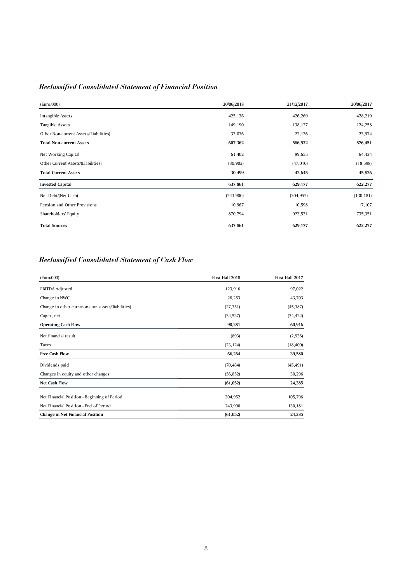# *Reclassified Consolidated Statement of Financial Position*

| (Euro/000)                             | 30/06/2018 | 31/12/2017 | 30/06/2017 |
|----------------------------------------|------------|------------|------------|
| Intangible Assets                      | 425,136    | 426,269    | 428,219    |
| Tangible Assets                        | 149,190    | 138,127    | 124,258    |
| Other Non-current Assets/(Liabilities) | 33,036     | 22,136     | 23,974     |
| <b>Total Non-current Assets</b>        | 607,362    | 586,532    | 576,451    |
| Net Working Capital                    | 61,402     | 89,655     | 64,424     |
| Other Current Assets/(Liabilities)     | (30, 903)  | (47, 010)  | (18, 598)  |
| <b>Total Current Assets</b>            | 30,499     | 42,645     | 45,826     |
| <b>Invested Capital</b>                | 637,861    | 629,177    | 622,277    |
| Net Debt/(Net Cash)                    | (243,900)  | (304, 952) | (130, 181) |
| Pension and Other Provisions           | 10,967     | 10,598     | 17,107     |
| Shareholders' Equity                   | 870,794    | 923,531    | 735,351    |
| <b>Total Sources</b>                   | 637,861    | 629,177    | 622,277    |

# *Reclassified Consolidated Statement of Cash Flow*

| (Euro/000)                                                                             | First Half 2018    | First Half 2017    |
|----------------------------------------------------------------------------------------|--------------------|--------------------|
| <b>EBITDA Adjusted</b>                                                                 | 123,916            | 97,022             |
| Change in NWC                                                                          | 28,253             | 43,703             |
| Change in other curr./non-curr. assets/(liabilities)                                   | (27, 351)          | (45, 387)          |
| Capex, net                                                                             | (34, 537)          | (34, 422)          |
| <b>Operating Cash Flow</b>                                                             | 90,281             | 60,916             |
| Net financial result                                                                   | (893)              | (2,936)            |
| Taxes                                                                                  | (23, 124)          | (18, 400)          |
| <b>Free Cash Flow</b>                                                                  | 66,264             | 39,580             |
| Dividends paid                                                                         | (70, 464)          | (45, 491)          |
| Changes in equity and other changes                                                    | (56, 852)          | 30,296             |
| <b>Net Cash Flow</b>                                                                   | (61, 052)          | 24,385             |
| Net Financial Position - Beginning of Period<br>Net Financial Position - End of Period | 304,952<br>243,900 | 105,796<br>130,181 |
| Change in Net Financial Position                                                       | (61, 052)          | 24,385             |